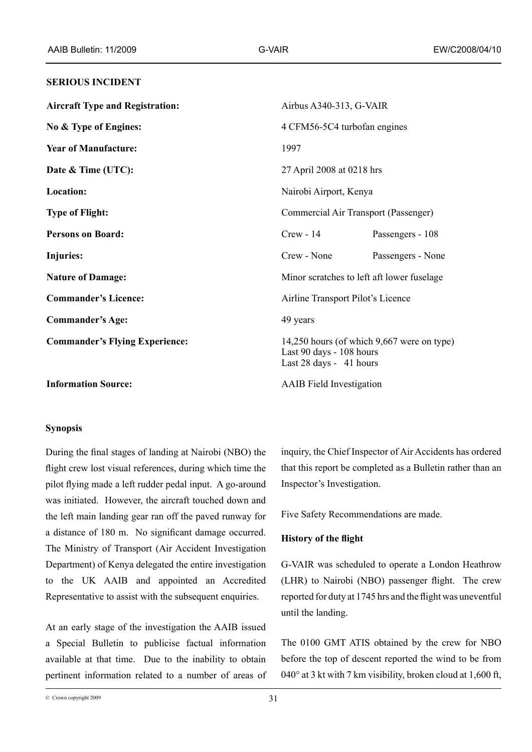#### **SERIOUS INCIDENT**

| <b>Aircraft Type and Registration:</b> |                                            | Airbus $A340-313$ , G-VAIR                                                                        |  |
|----------------------------------------|--------------------------------------------|---------------------------------------------------------------------------------------------------|--|
| No & Type of Engines:                  |                                            | 4 CFM56-5C4 turbofan engines                                                                      |  |
| <b>Year of Manufacture:</b>            | 1997                                       |                                                                                                   |  |
| Date & Time (UTC):                     |                                            | 27 April 2008 at 0218 hrs                                                                         |  |
| Location:                              |                                            | Nairobi Airport, Kenya                                                                            |  |
| <b>Type of Flight:</b>                 |                                            | Commercial Air Transport (Passenger)                                                              |  |
| <b>Persons on Board:</b>               | $Crew - 14$                                | Passengers - 108                                                                                  |  |
| <b>Injuries:</b>                       | Crew - None                                | Passengers - None                                                                                 |  |
| <b>Nature of Damage:</b>               | Minor scratches to left aft lower fuselage |                                                                                                   |  |
| <b>Commander's Licence:</b>            |                                            | Airline Transport Pilot's Licence                                                                 |  |
| <b>Commander's Age:</b>                | 49 years                                   |                                                                                                   |  |
| <b>Commander's Flying Experience:</b>  |                                            | 14,250 hours (of which 9,667 were on type)<br>Last 90 days - 108 hours<br>Last 28 days - 41 hours |  |
| <b>Information Source:</b>             |                                            | <b>AAIB</b> Field Investigation                                                                   |  |

#### **Synopsis**

During the final stages of landing at Nairobi (NBO) the flight crew lost visual references, during which time the pilot flying made a left rudder pedal input. A go-around was initiated. However, the aircraft touched down and the left main landing gear ran off the paved runway for a distance of 180 m. No significant damage occurred. The Ministry of Transport (Air Accident Investigation Department) of Kenya delegated the entire investigation to the UK AAIB and appointed an Accredited Representative to assist with the subsequent enquiries.

At an early stage of the investigation the AAIB issued a Special Bulletin to publicise factual information available at that time. Due to the inability to obtain pertinent information related to a number of areas of inquiry, the Chief Inspector of Air Accidents has ordered that this report be completed as a Bulletin rather than an Inspector's Investigation.

Five Safety Recommendations are made.

#### **History of the flight**

G-VAIR was scheduled to operate a London Heathrow (LHR) to Nairobi (NBO) passenger flight. The crew reported for duty at 1745 hrs and the flight was uneventful until the landing.

The 0100 GMT ATIS obtained by the crew for NBO before the top of descent reported the wind to be from 040° at 3 kt with 7 km visibility, broken cloud at 1,600 ft,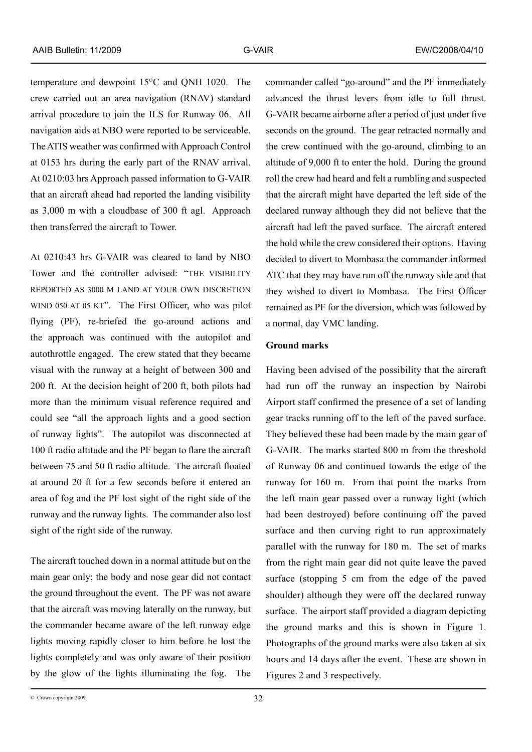temperature and dewpoint 15°C and QNH 1020. The crew carried out an area navigation (RNAV) standard arrival procedure to join the ILS for Runway 06. All navigation aids at NBO were reported to be serviceable. The ATIS weather was confirmed with Approach Control at 0153 hrs during the early part of the RNAV arrival. At 0210:03 hrs Approach passed information to G-VAIR that an aircraft ahead had reported the landing visibility

as 3,000 m with a cloudbase of 300 ft agl. Approach

then transferred the aircraft to Tower.

At 0210:43 hrs G-VAIR was cleared to land by NBO Tower and the controller advised: "THE VISIBILITY reported as 3000 m land at your own discretion wind 050 at 05 kt". The First Officer, who was pilot flying (PF), re-briefed the go-around actions and the approach was continued with the autopilot and autothrottle engaged. The crew stated that they became visual with the runway at a height of between 300 and 200 ft. At the decision height of 200 ft, both pilots had more than the minimum visual reference required and could see "all the approach lights and a good section of runway lights". The autopilot was disconnected at 100 ft radio altitude and the PF began to flare the aircraft between 75 and 50 ft radio altitude. The aircraft floated at around 20 ft for a few seconds before it entered an area of fog and the PF lost sight of the right side of the runway and the runway lights. The commander also lost sight of the right side of the runway.

The aircraft touched down in a normal attitude but on the main gear only; the body and nose gear did not contact the ground throughout the event. The PF was not aware that the aircraft was moving laterally on the runway, but the commander became aware of the left runway edge lights moving rapidly closer to him before he lost the lights completely and was only aware of their position by the glow of the lights illuminating the fog. The

commander called "go-around" and the PF immediately advanced the thrust levers from idle to full thrust. G-VAIR became airborne after a period of just under five seconds on the ground. The gear retracted normally and the crew continued with the go-around, climbing to an altitude of 9,000 ft to enter the hold. During the ground roll the crew had heard and felt a rumbling and suspected that the aircraft might have departed the left side of the declared runway although they did not believe that the aircraft had left the paved surface. The aircraft entered the hold while the crew considered their options. Having decided to divert to Mombasa the commander informed ATC that they may have run off the runway side and that they wished to divert to Mombasa. The First Officer remained as PF for the diversion, which was followed by a normal, day VMC landing.

### **Ground marks**

Having been advised of the possibility that the aircraft had run off the runway an inspection by Nairobi Airport staff confirmed the presence of a set of landing gear tracks running off to the left of the paved surface. They believed these had been made by the main gear of G-VAIR. The marks started 800 m from the threshold of Runway 06 and continued towards the edge of the runway for 160 m. From that point the marks from the left main gear passed over a runway light (which had been destroyed) before continuing off the paved surface and then curving right to run approximately parallel with the runway for 180 m. The set of marks from the right main gear did not quite leave the paved surface (stopping 5 cm from the edge of the paved shoulder) although they were off the declared runway surface. The airport staff provided a diagram depicting the ground marks and this is shown in Figure 1. Photographs of the ground marks were also taken at six hours and 14 days after the event. These are shown in Figures 2 and 3 respectively.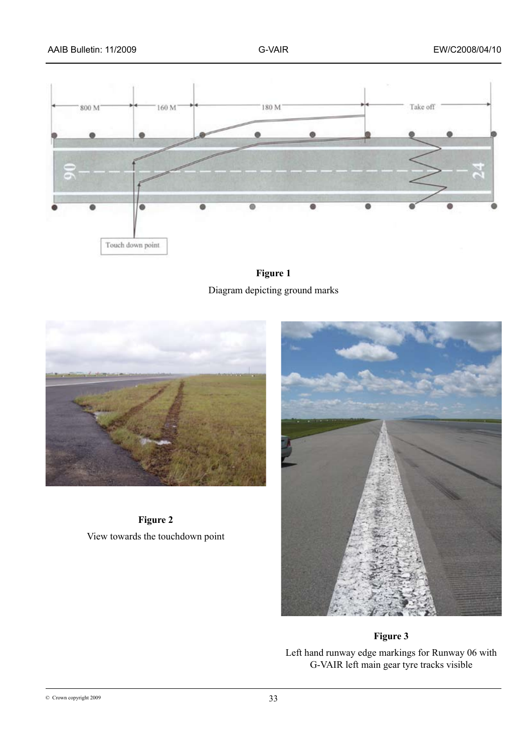





**Figure 2** View towards the touchdown point



# **Figure 3**

Left hand runway edge markings for Runway 06 with G-VAIR left main gear tyre tracks visible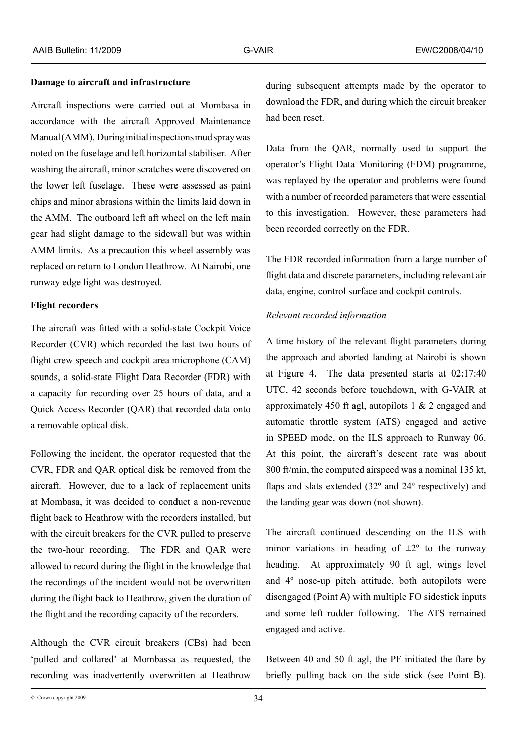#### **Damage to aircraft and infrastructure**

Aircraft inspections were carried out at Mombasa in accordance with the aircraft Approved Maintenance Manual (AMM). During initial inspections mud spray was noted on the fuselage and left horizontal stabiliser. After washing the aircraft, minor scratches were discovered on the lower left fuselage. These were assessed as paint chips and minor abrasions within the limits laid down in the AMM. The outboard left aft wheel on the left main gear had slight damage to the sidewall but was within AMM limits. As a precaution this wheel assembly was replaced on return to London Heathrow. At Nairobi, one runway edge light was destroyed.

### **Flight recorders**

The aircraft was fitted with a solid-state Cockpit Voice Recorder (CVR) which recorded the last two hours of flight crew speech and cockpit area microphone (CAM) sounds, a solid-state Flight Data Recorder (FDR) with a capacity for recording over 25 hours of data, and a Quick Access Recorder (QAR) that recorded data onto a removable optical disk.

Following the incident, the operator requested that the CVR, FDR and QAR optical disk be removed from the aircraft. However, due to a lack of replacement units at Mombasa, it was decided to conduct a non-revenue flight back to Heathrow with the recorders installed, but with the circuit breakers for the CVR pulled to preserve the two-hour recording. The FDR and QAR were allowed to record during the flight in the knowledge that the recordings of the incident would not be overwritten during the flight back to Heathrow, given the duration of the flight and the recording capacity of the recorders.

Although the CVR circuit breakers (CBs) had been 'pulled and collared' at Mombassa as requested, the recording was inadvertently overwritten at Heathrow

during subsequent attempts made by the operator to download the FDR, and during which the circuit breaker had been reset.

Data from the QAR, normally used to support the operator's Flight Data Monitoring (FDM) programme, was replayed by the operator and problems were found with a number of recorded parameters that were essential to this investigation. However, these parameters had been recorded correctly on the FDR.

The FDR recorded information from a large number of flight data and discrete parameters, including relevant air data, engine, control surface and cockpit controls.

### *Relevant recorded information*

A time history of the relevant flight parameters during the approach and aborted landing at Nairobi is shown at Figure 4. The data presented starts at 02:17:40 UTC, 42 seconds before touchdown, with G-VAIR at approximately 450 ft agl, autopilots 1  $&$  2 engaged and automatic throttle system (ATS) engaged and active in SPEED mode, on the ILS approach to Runway 06. At this point, the aircraft's descent rate was about 800 ft/min, the computed airspeed was a nominal 135 kt, flaps and slats extended (32º and 24º respectively) and the landing gear was down (not shown).

The aircraft continued descending on the ILS with minor variations in heading of  $\pm 2^{\circ}$  to the runway heading. At approximately 90 ft agl, wings level and 4º nose-up pitch attitude, both autopilots were disengaged (Point A) with multiple FO sidestick inputs and some left rudder following. The ATS remained engaged and active.

Between 40 and 50 ft agl, the PF initiated the flare by briefly pulling back on the side stick (see Point B).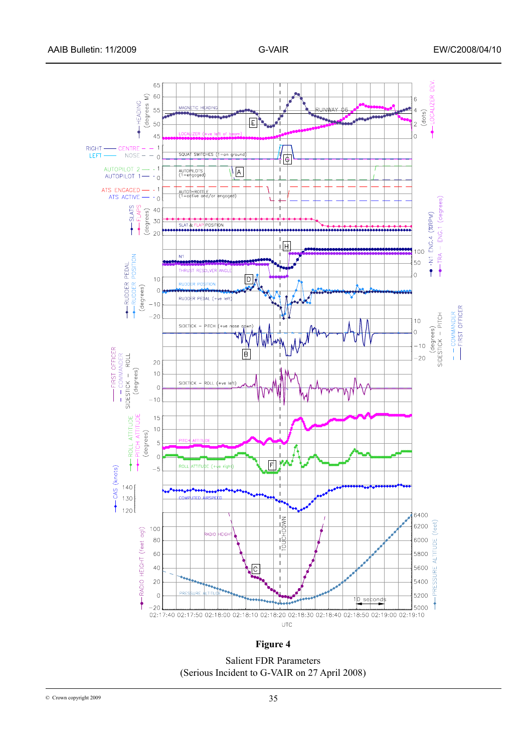

**Figure 4**

Salient FDR Parameters (Serious Incident to G-VAIR on 27 April 2008)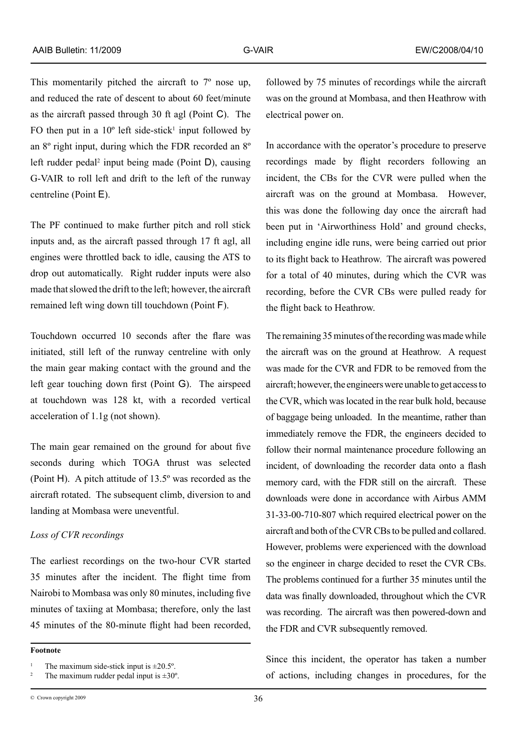This momentarily pitched the aircraft to 7º nose up, and reduced the rate of descent to about 60 feet/minute as the aircraft passed through 30 ft agl (Point C). The FO then put in a  $10^{\circ}$  left side-stick<sup>1</sup> input followed by an 8º right input, during which the FDR recorded an 8º left rudder pedal<sup>2</sup> input being made (Point D), causing G-VAIR to roll left and drift to the left of the runway centreline (Point E).

The PF continued to make further pitch and roll stick inputs and, as the aircraft passed through 17 ft agl, all engines were throttled back to idle, causing the ATS to drop out automatically. Right rudder inputs were also made that slowed the drift to the left; however, the aircraft remained left wing down till touchdown (Point F).

Touchdown occurred 10 seconds after the flare was initiated, still left of the runway centreline with only the main gear making contact with the ground and the left gear touching down first (Point G). The airspeed at touchdown was 128 kt, with a recorded vertical acceleration of 1.1g (not shown).

The main gear remained on the ground for about five seconds during which TOGA thrust was selected (Point H). A pitch attitude of 13.5º was recorded as the aircraft rotated. The subsequent climb, diversion to and landing at Mombasa were uneventful.

# *Loss of CVR recordings*

The earliest recordings on the two-hour CVR started 35 minutes after the incident. The flight time from Nairobi to Mombasa was only 80 minutes, including five minutes of taxiing at Mombasa; therefore, only the last 45 minutes of the 80-minute flight had been recorded,

**Footnote**

 $\degree$  Crown copyright 2009  $\degree$ 

followed by 75 minutes of recordings while the aircraft was on the ground at Mombasa, and then Heathrow with electrical power on.

In accordance with the operator's procedure to preserve recordings made by flight recorders following an incident, the CBs for the CVR were pulled when the aircraft was on the ground at Mombasa. However, this was done the following day once the aircraft had been put in 'Airworthiness Hold' and ground checks, including engine idle runs, were being carried out prior to its flight back to Heathrow. The aircraft was powered for a total of 40 minutes, during which the CVR was recording, before the CVR CBs were pulled ready for the flight back to Heathrow.

The remaining 35 minutes of the recording was made while the aircraft was on the ground at Heathrow. A request was made for the CVR and FDR to be removed from the aircraft; however, the engineers were unable to get access to the CVR, which was located in the rear bulk hold, because of baggage being unloaded. In the meantime, rather than immediately remove the FDR, the engineers decided to follow their normal maintenance procedure following an incident, of downloading the recorder data onto a flash memory card, with the FDR still on the aircraft. These downloads were done in accordance with Airbus AMM 31-33-00-710-807 which required electrical power on the aircraft and both of the CVR CBs to be pulled and collared. However, problems were experienced with the download so the engineer in charge decided to reset the CVR CBs. The problems continued for a further 35 minutes until the data was finally downloaded, throughout which the CVR was recording. The aircraft was then powered-down and the FDR and CVR subsequently removed.

Since this incident, the operator has taken a number of actions, including changes in procedures, for the

<sup>&</sup>lt;sup>1</sup> The maximum side-stick input is  $\pm 20.5^\circ$ .<br><sup>2</sup> The maximum rudder nodel input is  $\pm 20^\circ$ .

The maximum rudder pedal input is  $\pm 30^\circ$ .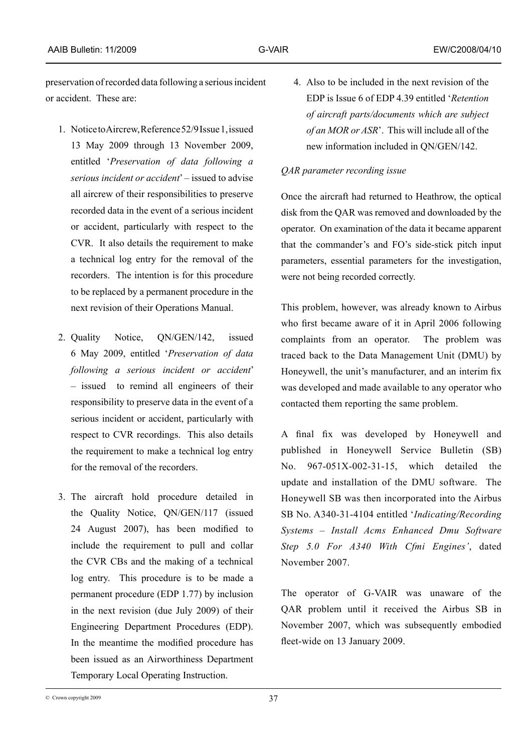preservation of recorded data following a serious incident or accident. These are:

- 1. Notice to Aircrew, Reference 52/9 Issue 1, issued 13 May 2009 through 13 November 2009, entitled '*Preservation of data following a serious incident or accident*' – issued to advise all aircrew of their responsibilities to preserve recorded data in the event of a serious incident or accident, particularly with respect to the CVR. It also details the requirement to make a technical log entry for the removal of the recorders. The intention is for this procedure to be replaced by a permanent procedure in the next revision of their Operations Manual.
- 2. Quality Notice, QN/GEN/142, issued 6 May 2009, entitled '*Preservation of data following a serious incident or accident*' – issued to remind all engineers of their responsibility to preserve data in the event of a serious incident or accident, particularly with respect to CVR recordings. This also details the requirement to make a technical log entry for the removal of the recorders.
- 3. The aircraft hold procedure detailed in the Quality Notice, QN/GEN/117 (issued 24 August 2007), has been modified to include the requirement to pull and collar the CVR CBs and the making of a technical log entry. This procedure is to be made a permanent procedure (EDP 1.77) by inclusion in the next revision (due July 2009) of their Engineering Department Procedures (EDP). In the meantime the modified procedure has been issued as an Airworthiness Department Temporary Local Operating Instruction.

4. Also to be included in the next revision of the EDP is Issue 6 of EDP 4.39 entitled '*Retention of aircraft parts/documents which are subject of an MOR or ASR*'. This will include all of the new information included in QN/GEN/142.

### *QAR parameter recording issue*

Once the aircraft had returned to Heathrow, the optical disk from the QAR was removed and downloaded by the operator. On examination of the data it became apparent that the commander's and FO's side-stick pitch input parameters, essential parameters for the investigation, were not being recorded correctly.

This problem, however, was already known to Airbus who first became aware of it in April 2006 following complaints from an operator. The problem was traced back to the Data Management Unit (DMU) by Honeywell, the unit's manufacturer, and an interim fix was developed and made available to any operator who contacted them reporting the same problem.

A final fix was developed by Honeywell and published in Honeywell Service Bulletin (SB) No. 967-051X-002-31-15, which detailed the update and installation of the DMU software. The Honeywell SB was then incorporated into the Airbus SB No. A340-31-4104 entitled '*Indicating/Recording Systems – Install Acms Enhanced Dmu Software Step 5.0 For A340 With Cfmi Engines'*, dated November 2007.

The operator of G-VAIR was unaware of the QAR problem until it received the Airbus SB in November 2007, which was subsequently embodied fleet-wide on 13 January 2009.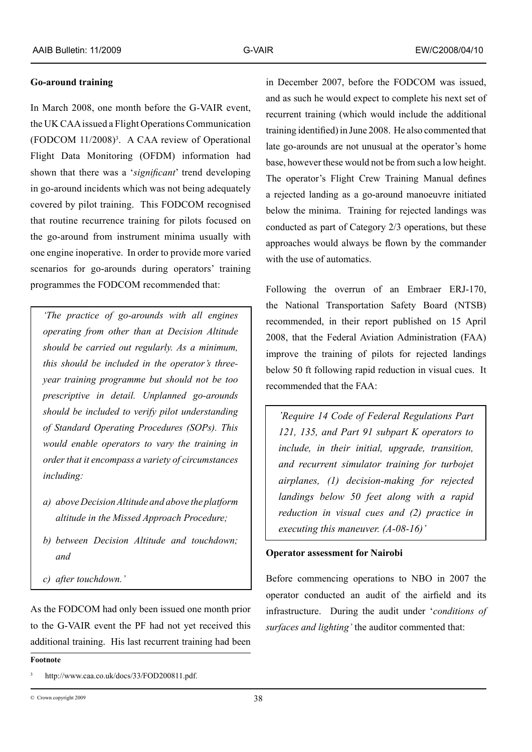### **Go-around training**

In March 2008, one month before the G-VAIR event, the UK CAA issued a Flight Operations Communication  $(FODCOM 11/2008)<sup>3</sup>$ . A CAA review of Operational Flight Data Monitoring (OFDM) information had shown that there was a '*significant*' trend developing in go-around incidents which was not being adequately covered by pilot training. This FODCOM recognised that routine recurrence training for pilots focused on the go-around from instrument minima usually with one engine inoperative. In order to provide more varied scenarios for go-arounds during operators' training programmes the FODCOM recommended that:

*'The practice of go-arounds with all engines operating from other than at Decision Altitude should be carried out regularly. As a minimum, this should be included in the operator's threeyear training programme but should not be too prescriptive in detail. Unplanned go-arounds should be included to verify pilot understanding of Standard Operating Procedures (SOPs). This would enable operators to vary the training in order that it encompass a variety of circumstances including:* 

- *a) above Decision Altitude and above the platform altitude in the Missed Approach Procedure;*
- *b) between Decision Altitude and touchdown; and*
- *c) after touchdown.'*

As the FODCOM had only been issued one month prior to the G-VAIR event the PF had not yet received this additional training. His last recurrent training had been

in December 2007, before the FODCOM was issued, and as such he would expect to complete his next set of recurrent training (which would include the additional training identified) in June 2008. He also commented that late go-arounds are not unusual at the operator's home base, however these would not be from such a low height. The operator's Flight Crew Training Manual defines a rejected landing as a go-around manoeuvre initiated below the minima. Training for rejected landings was conducted as part of Category 2/3 operations, but these approaches would always be flown by the commander with the use of automatics.

Following the overrun of an Embraer ERJ-170, the National Transportation Safety Board (NTSB) recommended, in their report published on 15 April 2008, that the Federal Aviation Administration (FAA) improve the training of pilots for rejected landings below 50 ft following rapid reduction in visual cues. It recommended that the FAA:

*'Require 14 Code of Federal Regulations Part 121, 135, and Part 91 subpart K operators to include, in their initial, upgrade, transition, and recurrent simulator training for turbojet airplanes, (1) decision-making for rejected landings below 50 feet along with a rapid reduction in visual cues and (2) practice in executing this maneuver. (A-08-16)'* 

#### **Operator assessment for Nairobi**

Before commencing operations to NBO in 2007 the operator conducted an audit of the airfield and its infrastructure. During the audit under '*conditions of surfaces and lighting'* the auditor commented that:

#### **Footnote**

<sup>3</sup> http://www.caa.co.uk/docs/33/FOD200811.pdf.

<sup>38</sup> © Crown copyright 2009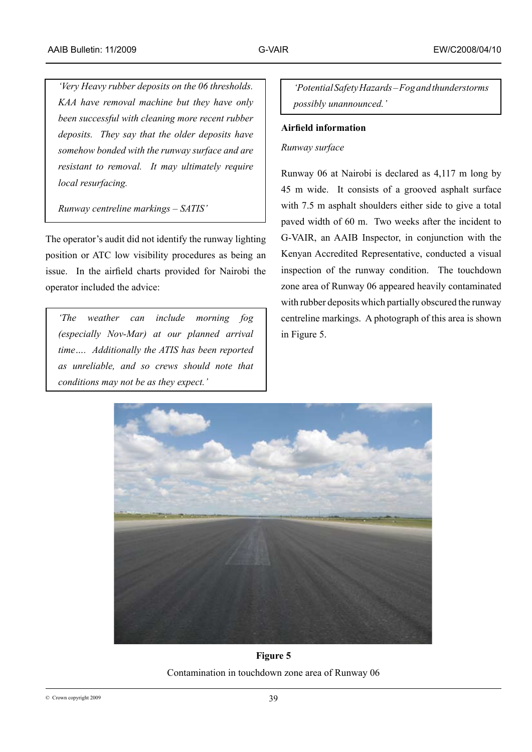*'Very Heavy rubber deposits on the 06 thresholds. KAA have removal machine but they have only been successful with cleaning more recent rubber deposits. They say that the older deposits have somehow bonded with the runway surface and are resistant to removal. It may ultimately require local resurfacing.*

*Runway centreline markings – SATIS'*

The operator's audit did not identify the runway lighting position or ATC low visibility procedures as being an issue. In the airfield charts provided for Nairobi the operator included the advice:

*'The weather can include morning fog (especially Nov-Mar) at our planned arrival time…. Additionally the ATIS has been reported as unreliable, and so crews should note that conditions may not be as they expect.'*

*'Potential Safety Hazards – Fog and thunderstorms possibly unannounced.'*

# **Airfield information**

# *Runway surface*

Runway 06 at Nairobi is declared as 4,117 m long by 45 m wide. It consists of a grooved asphalt surface with 7.5 m asphalt shoulders either side to give a total paved width of 60 m. Two weeks after the incident to G-VAIR, an AAIB Inspector, in conjunction with the Kenyan Accredited Representative, conducted a visual inspection of the runway condition. The touchdown zone area of Runway 06 appeared heavily contaminated with rubber deposits which partially obscured the runway centreline markings. A photograph of this area is shown in Figure 5.



**Figure 5** Contamination in touchdown zone area of Runway 06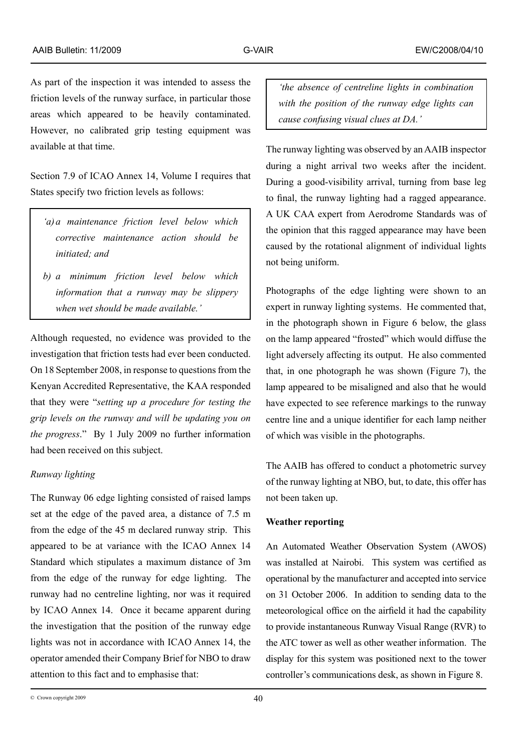As part of the inspection it was intended to assess the friction levels of the runway surface, in particular those areas which appeared to be heavily contaminated. However, no calibrated grip testing equipment was available at that time.

Section 7.9 of ICAO Annex 14, Volume I requires that States specify two friction levels as follows:

- *'a)a maintenance friction level below which corrective maintenance action should be initiated; and*
- *b) a minimum friction level below which information that a runway may be slippery when wet should be made available.'*

Although requested, no evidence was provided to the investigation that friction tests had ever been conducted. On 18 September 2008, in response to questions from the Kenyan Accredited Representative, the KAA responded that they were "*setting up a procedure for testing the grip levels on the runway and will be updating you on the progress*." By 1 July 2009 no further information had been received on this subject.

# *Runway lighting*

The Runway 06 edge lighting consisted of raised lamps set at the edge of the paved area, a distance of 7.5 m from the edge of the 45 m declared runway strip. This appeared to be at variance with the ICAO Annex 14 Standard which stipulates a maximum distance of 3m from the edge of the runway for edge lighting. The runway had no centreline lighting, nor was it required by ICAO Annex 14. Once it became apparent during the investigation that the position of the runway edge lights was not in accordance with ICAO Annex 14, the operator amended their Company Brief for NBO to draw attention to this fact and to emphasise that:

*'the absence of centreline lights in combination with the position of the runway edge lights can cause confusing visual clues at DA.'*

The runway lighting was observed by an AAIB inspector during a night arrival two weeks after the incident. During a good-visibility arrival, turning from base leg to final, the runway lighting had a ragged appearance. A UK CAA expert from Aerodrome Standards was of the opinion that this ragged appearance may have been caused by the rotational alignment of individual lights not being uniform.

Photographs of the edge lighting were shown to an expert in runway lighting systems. He commented that, in the photograph shown in Figure 6 below, the glass on the lamp appeared "frosted" which would diffuse the light adversely affecting its output. He also commented that, in one photograph he was shown (Figure 7), the lamp appeared to be misaligned and also that he would have expected to see reference markings to the runway centre line and a unique identifier for each lamp neither of which was visible in the photographs.

The AAIB has offered to conduct a photometric survey of the runway lighting at NBO, but, to date, this offer has not been taken up.

# **Weather reporting**

An Automated Weather Observation System (AWOS) was installed at Nairobi. This system was certified as operational by the manufacturer and accepted into service on 31 October 2006. In addition to sending data to the meteorological office on the airfield it had the capability to provide instantaneous Runway Visual Range (RVR) to the ATC tower as well as other weather information. The display for this system was positioned next to the tower controller's communications desk, as shown in Figure 8.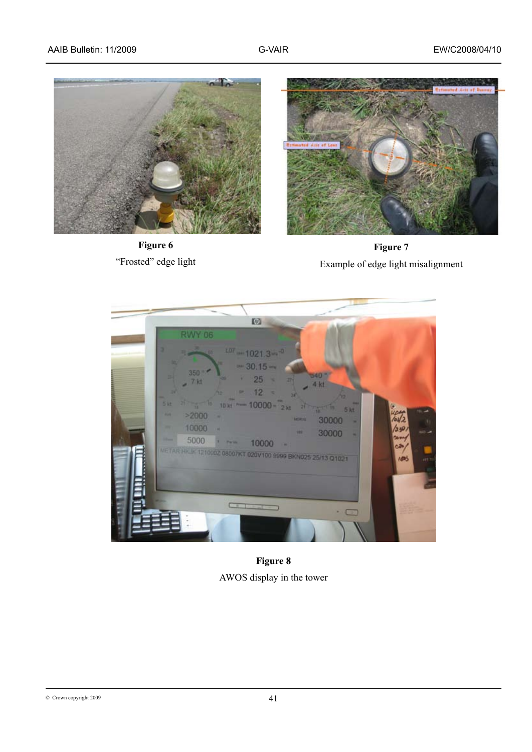

**Figure 6** "Frosted" edge light



**Figure 7** Example of edge light misalignment



**Figure 8** AWOS display in the tower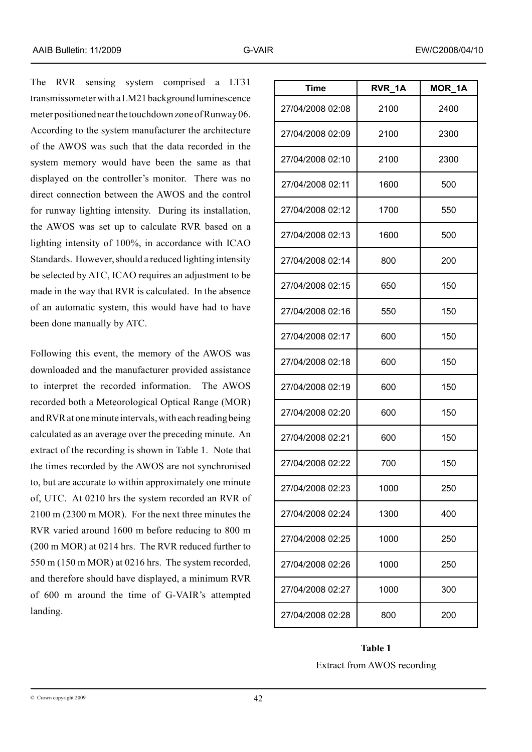The RVR sensing system comprised a LT31 transmissometer with a LM21 background luminescence meter positioned near the touchdown zone of Runway 06. According to the system manufacturer the architecture of the AWOS was such that the data recorded in the system memory would have been the same as that displayed on the controller's monitor. There was no direct connection between the AWOS and the control for runway lighting intensity. During its installation, the AWOS was set up to calculate RVR based on a lighting intensity of 100%, in accordance with ICAO Standards. However, should a reduced lighting intensity be selected by ATC, ICAO requires an adjustment to be made in the way that RVR is calculated. In the absence of an automatic system, this would have had to have been done manually by ATC.

Following this event, the memory of the AWOS was downloaded and the manufacturer provided assistance to interpret the recorded information. The AWOS recorded both a Meteorological Optical Range (MOR) and RVR at one minute intervals, with each reading being calculated as an average over the preceding minute. An extract of the recording is shown in Table 1. Note that the times recorded by the AWOS are not synchronised to, but are accurate to within approximately one minute of, UTC. At 0210 hrs the system recorded an RVR of 2100 m (2300 m MOR). For the next three minutes the RVR varied around 1600 m before reducing to 800 m (200 m MOR) at 0214 hrs. The RVR reduced further to 550 m (150 m MOR) at 0216 hrs. The system recorded, and therefore should have displayed, a minimum RVR of 600 m around the time of G-VAIR's attempted landing.

| <b>Time</b>      | RVR 1A | MOR 1A |
|------------------|--------|--------|
| 27/04/2008 02:08 | 2100   | 2400   |
| 27/04/2008 02:09 | 2100   | 2300   |
| 27/04/2008 02:10 | 2100   | 2300   |
| 27/04/2008 02:11 | 1600   | 500    |
| 27/04/2008 02:12 | 1700   | 550    |
| 27/04/2008 02:13 | 1600   | 500    |
| 27/04/2008 02:14 | 800    | 200    |
| 27/04/2008 02:15 | 650    | 150    |
| 27/04/2008 02:16 | 550    | 150    |
| 27/04/2008 02:17 | 600    | 150    |
| 27/04/2008 02:18 | 600    | 150    |
| 27/04/2008 02:19 | 600    | 150    |
| 27/04/2008 02:20 | 600    | 150    |
| 27/04/2008 02:21 | 600    | 150    |
| 27/04/2008 02:22 | 700    | 150    |
| 27/04/2008 02:23 | 1000   | 250    |
| 27/04/2008 02:24 | 1300   | 400    |
| 27/04/2008 02:25 | 1000   | 250    |
| 27/04/2008 02:26 | 1000   | 250    |
| 27/04/2008 02:27 | 1000   | 300    |
| 27/04/2008 02:28 | 800    | 200    |

# **Table 1** Extract from AWOS recording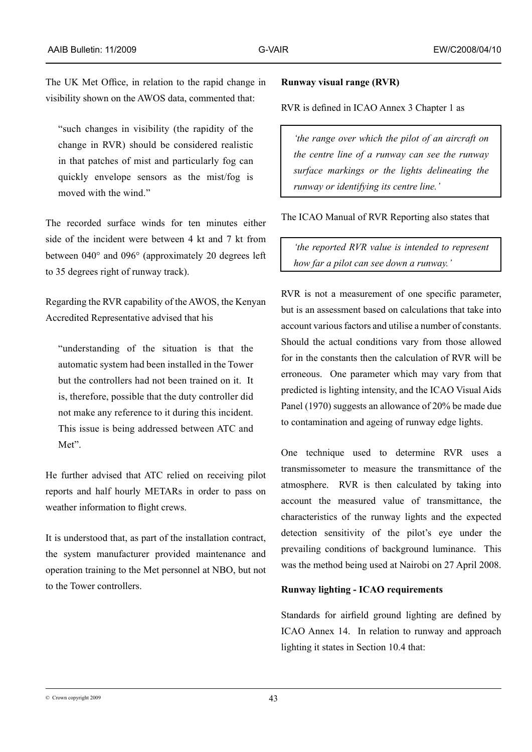The UK Met Office, in relation to the rapid change in visibility shown on the AWOS data, commented that:

"such changes in visibility (the rapidity of the change in RVR) should be considered realistic in that patches of mist and particularly fog can quickly envelope sensors as the mist/fog is moved with the wind."

The recorded surface winds for ten minutes either side of the incident were between 4 kt and 7 kt from between 040° and 096° (approximately 20 degrees left to 35 degrees right of runway track).

Regarding the RVR capability of the AWOS, the Kenyan Accredited Representative advised that his

"understanding of the situation is that the automatic system had been installed in the Tower but the controllers had not been trained on it. It is, therefore, possible that the duty controller did not make any reference to it during this incident. This issue is being addressed between ATC and Met".

He further advised that ATC relied on receiving pilot reports and half hourly METARs in order to pass on weather information to flight crews.

It is understood that, as part of the installation contract, the system manufacturer provided maintenance and operation training to the Met personnel at NBO, but not to the Tower controllers.

# **Runway visual range (RVR)**

RVR is defined in ICAO Annex 3 Chapter 1 as

*'the range over which the pilot of an aircraft on the centre line of a runway can see the runway surface markings or the lights delineating the runway or identifying its centre line.'*

The ICAO Manual of RVR Reporting also states that

*'the reported RVR value is intended to represent how far a pilot can see down a runway.'* 

RVR is not a measurement of one specific parameter, but is an assessment based on calculations that take into account various factors and utilise a number of constants. Should the actual conditions vary from those allowed for in the constants then the calculation of RVR will be erroneous. One parameter which may vary from that predicted is lighting intensity, and the ICAO Visual Aids Panel (1970) suggests an allowance of 20% be made due to contamination and ageing of runway edge lights.

One technique used to determine RVR uses a transmissometer to measure the transmittance of the atmosphere. RVR is then calculated by taking into account the measured value of transmittance, the characteristics of the runway lights and the expected detection sensitivity of the pilot's eye under the prevailing conditions of background luminance. This was the method being used at Nairobi on 27 April 2008.

# **Runway lighting - ICAO requirements**

Standards for airfield ground lighting are defined by ICAO Annex 14. In relation to runway and approach lighting it states in Section 10.4 that:

 $\degree$  Crown copyright 2009  $\degree$  43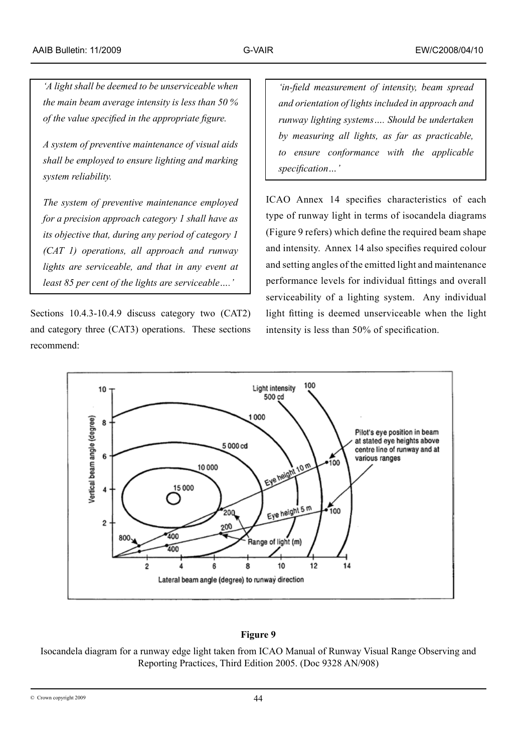*'A light shall be deemed to be unserviceable when the main beam average intensity is less than 50 % of the value specified in the appropriate figure.*

*A system of preventive maintenance of visual aids shall be employed to ensure lighting and marking system reliability.*

*The system of preventive maintenance employed for a precision approach category 1 shall have as its objective that, during any period of category 1 (CAT 1) operations, all approach and runway lights are serviceable, and that in any event at least 85 per cent of the lights are serviceable….'*

Sections 10.4.3-10.4.9 discuss category two (CAT2) and category three (CAT3) operations. These sections recommend:

*'in-field measurement of intensity, beam spread and orientation of lights included in approach and runway lighting systems…. Should be undertaken by measuring all lights, as far as practicable, to ensure conformance with the applicable specification…'*

ICAO Annex 14 specifies characteristics of each type of runway light in terms of isocandela diagrams (Figure 9 refers) which define the required beam shape and intensity. Annex 14 also specifies required colour and setting angles of the emitted light and maintenance performance levels for individual fittings and overall serviceability of a lighting system. Any individual light fitting is deemed unserviceable when the light intensity is less than 50% of specification.



# **Figure 9**

Isocandela diagram for a runway edge light taken from ICAO Manual of Runway Visual Range Observing and Reporting Practices, Third Edition 2005. (Doc 9328 AN/908)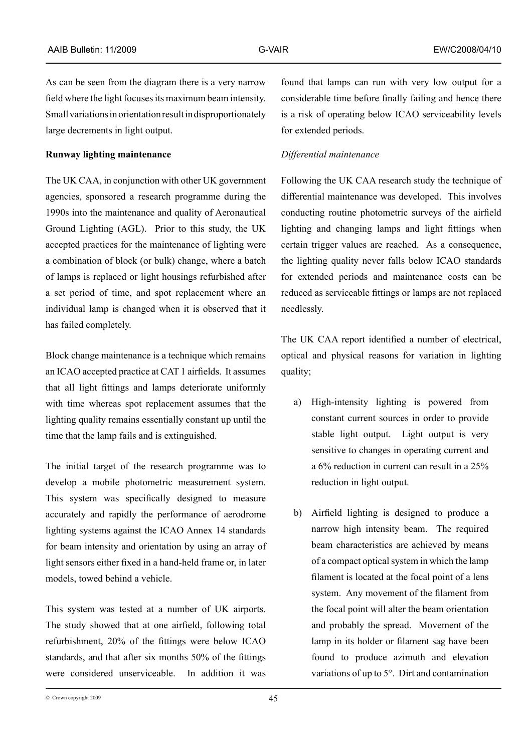As can be seen from the diagram there is a very narrow field where the light focuses its maximum beam intensity. Small variations in orientation result in disproportionately large decrements in light output.

### **Runway lighting maintenance**

The UK CAA, in conjunction with other UK government agencies, sponsored a research programme during the 1990s into the maintenance and quality of Aeronautical Ground Lighting (AGL). Prior to this study, the UK accepted practices for the maintenance of lighting were a combination of block (or bulk) change, where a batch of lamps is replaced or light housings refurbished after a set period of time, and spot replacement where an individual lamp is changed when it is observed that it has failed completely.

Block change maintenance is a technique which remains an ICAO accepted practice at CAT 1 airfields. It assumes that all light fittings and lamps deteriorate uniformly with time whereas spot replacement assumes that the lighting quality remains essentially constant up until the time that the lamp fails and is extinguished.

The initial target of the research programme was to develop a mobile photometric measurement system. This system was specifically designed to measure accurately and rapidly the performance of aerodrome lighting systems against the ICAO Annex 14 standards for beam intensity and orientation by using an array of light sensors either fixed in a hand-held frame or, in later models, towed behind a vehicle.

This system was tested at a number of UK airports. The study showed that at one airfield, following total refurbishment, 20% of the fittings were below ICAO standards, and that after six months 50% of the fittings were considered unserviceable. In addition it was

found that lamps can run with very low output for a considerable time before finally failing and hence there is a risk of operating below ICAO serviceability levels for extended periods.

## *Differential maintenance*

Following the UK CAA research study the technique of differential maintenance was developed. This involves conducting routine photometric surveys of the airfield lighting and changing lamps and light fittings when certain trigger values are reached. As a consequence, the lighting quality never falls below ICAO standards for extended periods and maintenance costs can be reduced as serviceable fittings or lamps are not replaced needlessly.

The UK CAA report identified a number of electrical, optical and physical reasons for variation in lighting quality;

- a) High-intensity lighting is powered from constant current sources in order to provide stable light output. Light output is very sensitive to changes in operating current and a 6% reduction in current can result in a 25% reduction in light output.
- b) Airfield lighting is designed to produce a narrow high intensity beam. The required beam characteristics are achieved by means of a compact optical system in which the lamp filament is located at the focal point of a lens system. Any movement of the filament from the focal point will alter the beam orientation and probably the spread. Movement of the lamp in its holder or filament sag have been found to produce azimuth and elevation variations of up to 5°. Dirt and contamination

 $\degree$  Crown copyright 2009  $\degree$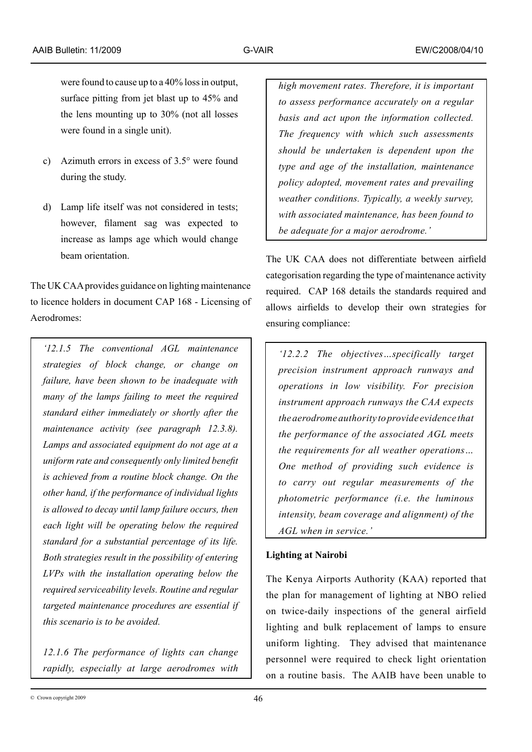were found to cause up to a 40% loss in output, surface pitting from jet blast up to 45% and the lens mounting up to 30% (not all losses were found in a single unit).

- c) Azimuth errors in excess of 3.5° were found during the study.
- d) Lamp life itself was not considered in tests; however, filament sag was expected to increase as lamps age which would change beam orientation.

The UK CAA provides guidance on lighting maintenance to licence holders in document CAP 168 - Licensing of Aerodromes:

*'12.1.5 The conventional AGL maintenance strategies of block change, or change on failure, have been shown to be inadequate with many of the lamps failing to meet the required standard either immediately or shortly after the maintenance activity (see paragraph 12.3.8). Lamps and associated equipment do not age at a uniform rate and consequently only limited benefit is achieved from a routine block change. On the other hand, if the performance of individual lights is allowed to decay until lamp failure occurs, then each light will be operating below the required standard for a substantial percentage of its life. Both strategies result in the possibility of entering LVPs with the installation operating below the required serviceability levels. Routine and regular targeted maintenance procedures are essential if this scenario is to be avoided.*

*12.1.6 The performance of lights can change rapidly, especially at large aerodromes with*  *high movement rates. Therefore, it is important to assess performance accurately on a regular basis and act upon the information collected. The frequency with which such assessments should be undertaken is dependent upon the type and age of the installation, maintenance policy adopted, movement rates and prevailing weather conditions. Typically, a weekly survey, with associated maintenance, has been found to be adequate for a major aerodrome.'*

The UK CAA does not differentiate between airfield categorisation regarding the type of maintenance activity required. CAP 168 details the standards required and allows airfields to develop their own strategies for ensuring compliance:

*'12.2.2 The objectives…specifically target precision instrument approach runways and operations in low visibility. For precision instrument approach runways the CAA expects the aerodrome authority to provide evidence that the performance of the associated AGL meets the requirements for all weather operations… One method of providing such evidence is to carry out regular measurements of the photometric performance (i.e. the luminous intensity, beam coverage and alignment) of the AGL when in service.'* 

# **Lighting at Nairobi**

The Kenya Airports Authority (KAA) reported that the plan for management of lighting at NBO relied on twice-daily inspections of the general airfield lighting and bulk replacement of lamps to ensure uniform lighting. They advised that maintenance personnel were required to check light orientation on a routine basis. The AAIB have been unable to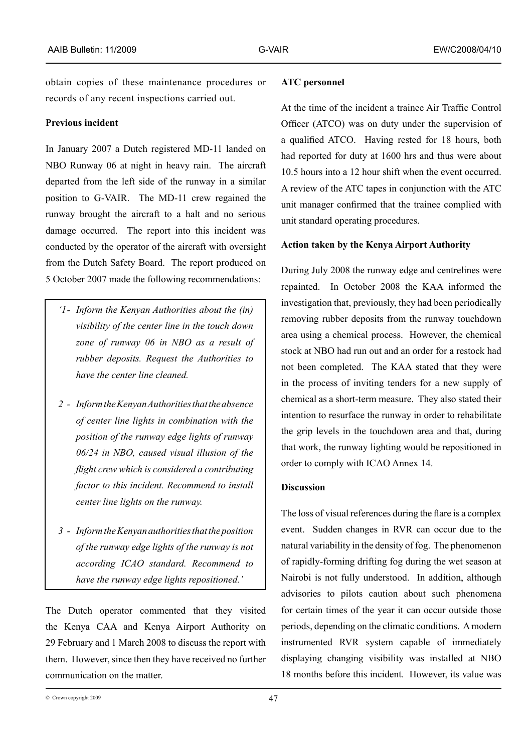obtain copies of these maintenance procedures or records of any recent inspections carried out.

## **Previous incident**

In January 2007 a Dutch registered MD-11 landed on NBO Runway 06 at night in heavy rain. The aircraft departed from the left side of the runway in a similar position to G-VAIR. The MD-11 crew regained the runway brought the aircraft to a halt and no serious damage occurred. The report into this incident was conducted by the operator of the aircraft with oversight from the Dutch Safety Board. The report produced on 5 October 2007 made the following recommendations:

- *'1- Inform the Kenyan Authorities about the (in) visibility of the center line in the touch down zone of runway 06 in NBO as a result of rubber deposits. Request the Authorities to have the center line cleaned.*
- *2 - Inform the Kenyan Authorities that the absence of center line lights in combination with the position of the runway edge lights of runway 06/24 in NBO, caused visual illusion of the flight crew which is considered a contributing factor to this incident. Recommend to install center line lights on the runway.*
- *3 - Inform the Kenyan authorities that the position of the runway edge lights of the runway is not according ICAO standard. Recommend to have the runway edge lights repositioned.'*

The Dutch operator commented that they visited the Kenya CAA and Kenya Airport Authority on 29 February and 1 March 2008 to discuss the report with them. However, since then they have received no further communication on the matter.

### **ATC personnel**

At the time of the incident a trainee Air Traffic Control Officer (ATCO) was on duty under the supervision of a qualified ATCO. Having rested for 18 hours, both had reported for duty at 1600 hrs and thus were about 10.5 hours into a 12 hour shift when the event occurred. A review of the ATC tapes in conjunction with the ATC unit manager confirmed that the trainee complied with unit standard operating procedures.

#### **Action taken by the Kenya Airport Authority**

During July 2008 the runway edge and centrelines were repainted. In October 2008 the KAA informed the investigation that, previously, they had been periodically removing rubber deposits from the runway touchdown area using a chemical process. However, the chemical stock at NBO had run out and an order for a restock had not been completed. The KAA stated that they were in the process of inviting tenders for a new supply of chemical as a short-term measure. They also stated their intention to resurface the runway in order to rehabilitate the grip levels in the touchdown area and that, during that work, the runway lighting would be repositioned in order to comply with ICAO Annex 14.

## **Discussion**

The loss of visual references during the flare is a complex event. Sudden changes in RVR can occur due to the natural variability in the density of fog. The phenomenon of rapidly-forming drifting fog during the wet season at Nairobi is not fully understood. In addition, although advisories to pilots caution about such phenomena for certain times of the year it can occur outside those periods, depending on the climatic conditions. A modern instrumented RVR system capable of immediately displaying changing visibility was installed at NBO 18 months before this incident. However, its value was

 $\degree$  Crown copyright 2009  $\degree$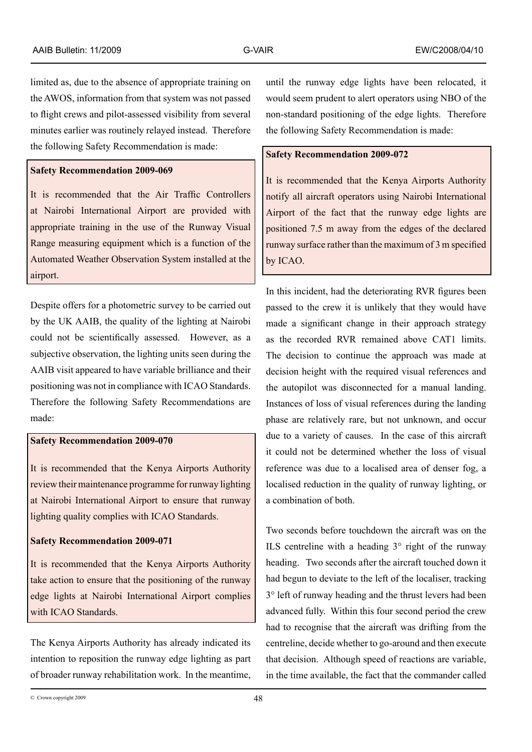limited as, due to the absence of appropriate training on the AWOS, information from that system was not passed to flight crews and pilot-assessed visibility from several minutes earlier was routinely relayed instead. Therefore the following Safety Recommendation is made:

# **Safety Recommendation 2009-069**

It is recommended that the Air Traffic Controllers at Nairobi International Airport are provided with appropriate training in the use of the Runway Visual Range measuring equipment which is a function of the Automated Weather Observation System installed at the airport.

Despite offers for a photometric survey to be carried out by the UK AAIB, the quality of the lighting at Nairobi could not be scientifically assessed. However, as a subjective observation, the lighting units seen during the AAIB visit appeared to have variable brilliance and their positioning was not in compliance with ICAO Standards. Therefore the following Safety Recommendations are made:

### **Safety Recommendation 2009-070**

It is recommended that the Kenya Airports Authority review their maintenance programme for runway lighting at Nairobi International Airport to ensure that runway lighting quality complies with ICAO Standards.

#### **Safety Recommendation 2009-071**

It is recommended that the Kenya Airports Authority take action to ensure that the positioning of the runway edge lights at Nairobi International Airport complies with ICAO Standards.

The Kenya Airports Authority has already indicated its intention to reposition the runway edge lighting as part of broader runway rehabilitation work. In the meantime, until the runway edge lights have been relocated, it would seem prudent to alert operators using NBO of the non-standard positioning of the edge lights. Therefore the following Safety Recommendation is made:

# **Safety Recommendation 2009-072**

It is recommended that the Kenya Airports Authority notify all aircraft operators using Nairobi International Airport of the fact that the runway edge lights are positioned 7.5 m away from the edges of the declared runway surface rather than the maximum of 3 m specified by ICAO.

In this incident, had the deteriorating RVR figures been passed to the crew it is unlikely that they would have made a significant change in their approach strategy as the recorded RVR remained above CAT1 limits. The decision to continue the approach was made at decision height with the required visual references and the autopilot was disconnected for a manual landing. Instances of loss of visual references during the landing phase are relatively rare, but not unknown, and occur due to a variety of causes. In the case of this aircraft it could not be determined whether the loss of visual reference was due to a localised area of denser fog, a localised reduction in the quality of runway lighting, or a combination of both.

Two seconds before touchdown the aircraft was on the ILS centreline with a heading  $3^\circ$  right of the runway heading. Two seconds after the aircraft touched down it had begun to deviate to the left of the localiser, tracking 3° left of runway heading and the thrust levers had been advanced fully. Within this four second period the crew had to recognise that the aircraft was drifting from the centreline, decide whether to go-around and then execute that decision. Although speed of reactions are variable, in the time available, the fact that the commander called